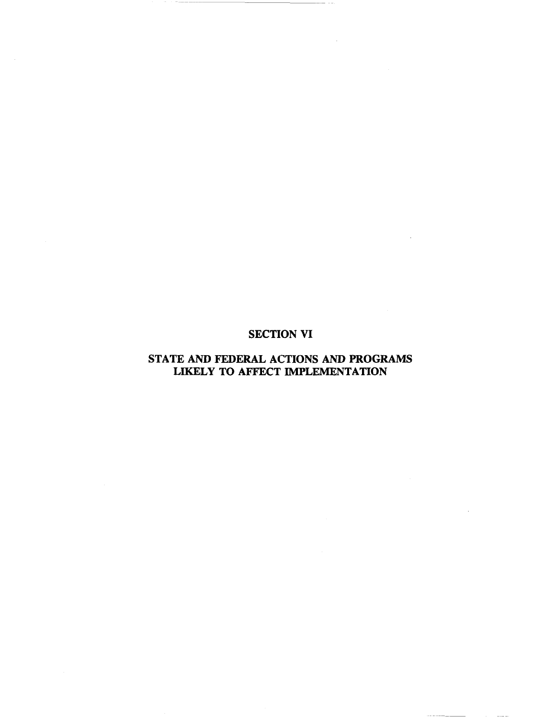# SECTION VI

# STATE AND FEDERAL ACTIONS AND PROGRAMS LIKELY TO AFFECT IMPLEMENTATION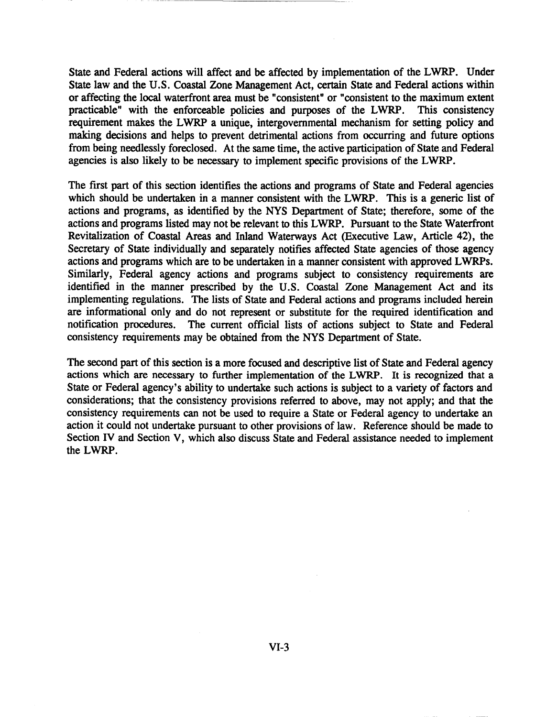State and Federal actions will affect and be affected by implementation of the LWRP. Under State law and the U.S. Coastal Zone Management Act, certain State and Federal actions within or affecting the local waterfront area must be "consistent" or "consistent to the maximum extent practicable" with the enforceable policies and purposes of the LWRP. This consistency requirement makes the LWRP a unique, intergovernmental mechanism for setting policy and making decisions and helps to prevent detrimental actions from occurring and future options from being needlessly foreclosed. At the same time, the active participation of State and Federal agencies is also likely to be necessary to implement specific provisions of the LWRP.

The first part of this section identifies the actions and programs of State and Federal agencies which should be undertaken in a manner consistent with the LWRP. This is a generic list of actions and programs, as identified by the NYS Department of State; therefore, some of the actions and programs listed may not be relevant to this LWRP. Pursuant to the State Waterfront Revitalization of Coastal Areas and Inland Waterways Act (Executive Law, Article 42), the Secretary of State individually and separately notifies affected State agencies of those agency actions and programs which are to be undertaken in a manner consistent with approved LWRPs. Similarly, Federal agency actions and programs subject to consistency requirements are identified in the manner prescribed by the U.S. Coastal Zone Management Act and its implementing regulations. The lists of State and Federal actions and programs included herein are informational only and do not represent or substitute for the required identification and notification procedures. The current official lists of actions subject to State and Federal consistency requirements may be obtained from the NYS Department of State.

The second part of this section is a more focused and descriptive list of State and Federal agency actions which are necessary to further implementation of the LWRP. It is recognized that a State or Federal agency's ability to undertake such actions is subject to a variety of factors and considerations; that the consistency provisions referred to above, may not apply; and that the consistency requirements can not be used to require a State or Federal agency to undertake an action it could not undertake pursuant to other provisions of law. Reference should be made to Section IV and Section V, which also discuss State and Federal assistance needed to implement the LWRP.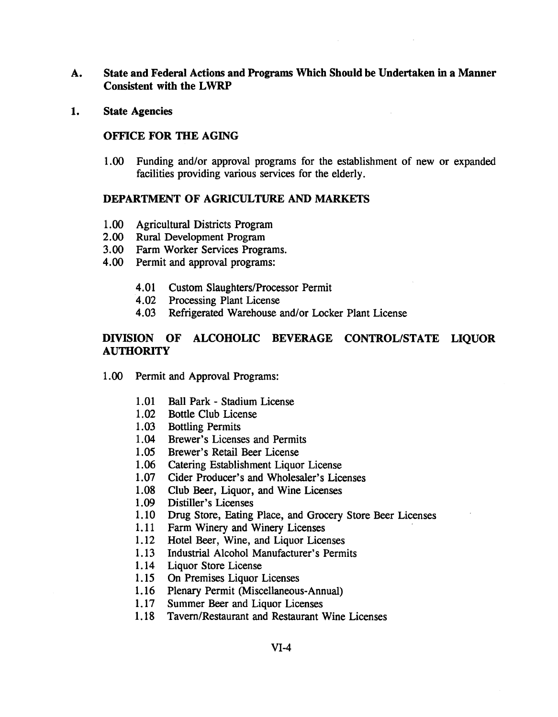- A. State and Federal Actions and Programs Which Should be Undertaken in a Manner Consistent with the LWRP
- 1. State Agencies

## OFFICE FOR THE AGING

1.00 Funding and/or approval programs for the establishment of new or expanded facilities providing various services for the elderly.

## DEPARTMENT OF AGRICULTURE AND MARKETS

- 1.00 Agricultural Districts Program
- 2.00 Rural Development Program
- 3.00 Farm Worker Services Programs.
- 4.00 Permit and approval programs:
	- 4.01 Custom Slaughters/Processor Permit
	- 4.02 Processing Plant License
	- 4.03 Refrigerated Warehouse and/or Locker Plant License

# DIVISION OF ALCOHOLIC BEVERAGE CONTROL/STATE LIQUOR **AUTHORITY**

- 1.00 Permit and Approval Programs:
	- 1.01 Ball Park Stadium License
	- 1.02 Bottle Club License
	- 1.03 Bottling Permits
	- 1.04 Brewer's Licenses and Permits
	- 1.05 Brewer's Retail Beer License
	- 1.06 Catering Establishment Liquor License
	- 1.07 Cider Producer's and Wholesaler's Licenses
	- 1.08 Club Beer, Liquor, and Wine Licenses
	- 1.09 Distiller's Licenses
	- 1. 10 Drug Store, Eating Place, and Grocery Store Beer Licenses
	- 1.11 Farm Winery and Winery Licenses
	- 1.12 Hotel Beer, Wine, and Liquor Licenses
	- 1.13 Industrial Alcohol Manufacturer's Permits
	- 1.14 Liquor Store License
	- 1.15 On Premises Liquor Licenses
	- 1.16 Plenary Permit (Miscellaneous-Annual)
	- 1.17 Summer Beer and Liquor Licenses
	- 1.18 Tavern/Restaurant and Restaurant Wine Licenses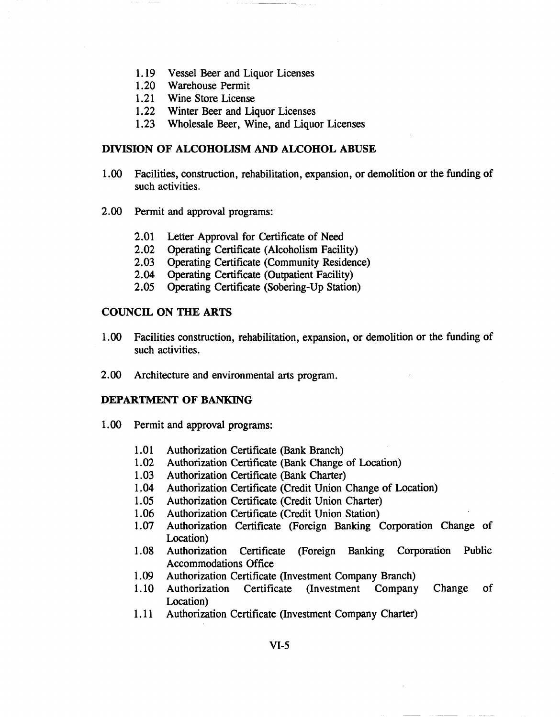- 1.19 Vessel Beer and Liquor Licenses
- 1.20 Warehouse Permit
- 1.21 Wine Store License
- 1.22 Winter Beer and Liquor Licenses
- 1.23 Wholesale Beer, Wine, and Liquor Licenses

### **DIVISION OF ALCOHOLISM AND ALCOHOL ABUSE**

- 1.00 Facilities, construction, rehabilitation, expansion, or demolition or the funding of such activities.
- 2.00 Permit and approval programs:
	- 2.01 Letter Approval for Certificate of Need
	- 2.02 Operating Certificate (Alcoholism Facility)
	- 2.03 Operating Certificate (Community Residence)
	- 2.04 Operating Certificate (Outpatient Facility)
	- 2.05 Operating Certificate (Sobering-Up Station)

## **COUNCIL ON THE ARTS**

- 1.00 Facilities construction, rehabilitation, expansion, or demolition or the funding of such activities.
- 2.00 Architecture and environmental arts program.

#### **DEPARTMENT OF BANKING**

- 1.00 Permit and approval programs:
	- 1.01 Authorization Certificate (Bank Branch)
	- 1.02 Authorization Certificate (Bank Change of Location)
	- 1.03 Authorization Certificate (Bank Charter)
	- 1.04 Authorization Certificate (Credit Union Change of Location)
	- 1.05 Authorization Certificate (Credit Union Charter)
	- 1.06 Authorization Certificate (Credit Union Station)
	- 1.07 Authorization Certificate (Foreign Banking Corporation Change of Location)
	- 1.08 Authorization Certificate (Foreign Banking Corporation Public Accommodations Office
	- 1.09 Authorization Certificate (Investment Company Branch)
	- 1.10 Authorization Certificate (Investment Company Change of Location)
	- 1.11 Authorization Certificate (Investment Company Charter)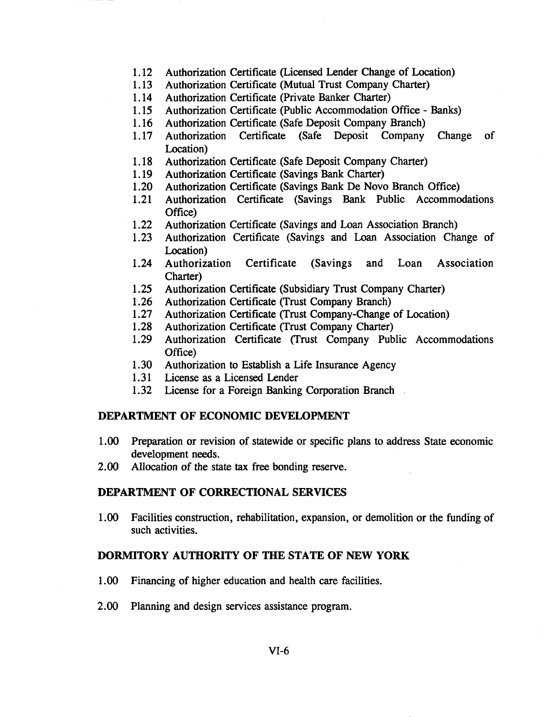- 1.12 Authorization Certificate (Licensed Lender Change of Location)
- 1.13 Authorization Certificate (Mutual Trust Company Charter)
- 1.14 Authorization Certificate (Private Banker Charter)
- 1.15 Authorization Certificate (Public Accommodation Office Banks)
- 1.16 Authorization Certificate (Safe Deposit Company Branch)
- 1.17 Authorization Certificate (Safe Deposit Company Change of Location)
- 1.18 Authorization Certificate (Safe Deposit Company Charter)
- 1.19 Authorization Certificate (Savings Bank Charter)
- 1.20 Authorization Certificate (Savings Bank De Novo Branch Office)
- 1.21 Authorization Certificate (Savings Bank Public Accommodations Office)
- 1.22 Authorization Certificate (Savings and Loan Association Branch)
- 1.23 Authorization Certificate (Savings and Loan Association Change of Location)
- 1.24 Authorization Certificate (Savings and Loan Association Charter)
- 1.25 Authorization Certificate (Subsidiary Trust Company Charter)
- 1.26 Authorization Certificate (Trust Company Branch)
- 1.27 Authorization Certificate (Trust Company-Change of Location)
- 1.28 Authorization Certificate (Trust Company Charter)
- 1.29 Authorization Certificate (Trust Company Public Accommodations Office)
- 1.30 Authorization to Establish a Life Insurance Agency
- 1.31 License as a Licensed Lender
- 1.32 License for a Foreign Banking Corporation Branch

## DEPARTMENT OF ECONOMIC DEVELOPMENT

- 1.00 Preparation or revision of statewide or specific plans to address State economic development needs.
- 2.00 Allocation of the state tax free bonding reserve.

#### DEPARTMENT OF CORRECTIONAL SERVICES

1.00 Facilities construction, rehabilitation, expansion, or demolition or the funding of such activities.

## DORMITORY AUTHORITY OF THE STATE OF NEW YORK

- 1.00 Financing of higher education and health care facilities.
- 2.00 Planning and design services assistance program.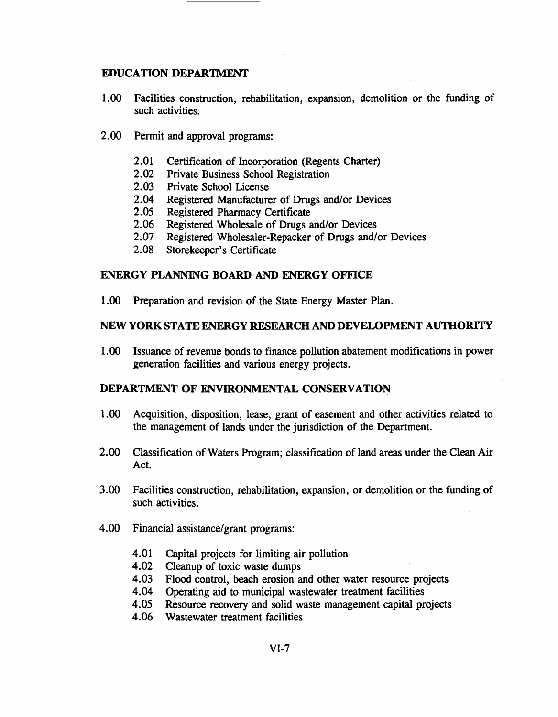## **EDUCATION DEPARTMENT**

- 1.00 Facilities construction, rehabilitation, expansion, demolition or the funding of such activities.
- 2.00 Permit and approval programs:
	- 2.01 Certification of Incorporation (Regents Charter)
	- 2.02 Private Business School Registration
	- 2.03 Private School License
	- 2.04 Registered Manufacturer of Drugs and/or Devices
	- 2.05 Registered Pharmacy Certificate<br>2.06 Registered Wholesale of Drugs a
	- Registered Wholesale of Drugs and/or Devices
	- 2.07 Registered Wholesaler-Repacker of Drugs and/or Devices
	- 2.08 Storekeeper's Certificate

## **ENERGY PLANNING BOARD AND ENERGY OFFICE**

1.00 Preparation and revision of the State Energy Master Plan.

## NEW YORK STATE ENERGY RESEARCH AND DEVELOPMENT **AUTHORITY**

1.00 Issuance of revenue bonds to finance pollution abatement modifications in power generation facilities and various energy projects.

### **DEPARTMENT OF ENVIRONMENTAL CONSERVATION**

- 1.00 Acquisition, disposition, lease, grant of easement and other activities related to the management of lands under the jurisdiction of the Department.
- 2.00 Classification of Waters Program; classification of land areas under the Clean Air Act.
- 3.00 Facilities construction, rehabilitation, expansion, or demolition or the funding of such activities.
- 4.00 Financial assistance/grant programs:
	- 4.01 Capital projects for limiting air pollution
	- 4.02 Cleanup of toxic waste dumps
	- 4.03 Flood control, beach erosion and other water resource projects
	- 4.04 Operating aid to municipal wastewater treatment facilities
	- 4.05 Resource recovery and solid waste management capital projects
	- 4.06 Wastewater treatment facilities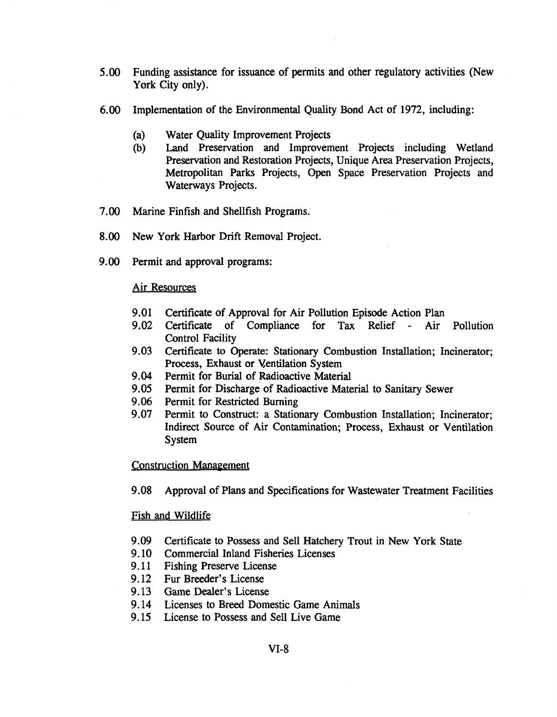- 5.00 Funding assistance for issuance of permits and other regulatory activities (New York City only).
- 6.00 Implementation of the Environmental Quality Bond Act of 1972, including:
	- (a) Water Quality Improvement Projects
	- (b) Land Preservation and Improvement Projects including Wetland Preservation and Restoration Projects, Unique Area Preservation Projects, Metropolitan Parks Projects, Open Space Preservation Projects and Waterways Projects.
- 7.00 Marine Finfish and Shellfish Programs.
- 8.00 New York Harbor Drift Removal Project.
- 9.00 Permit and approval programs:

### Air Resources

- 9.01 Certificate of Approval for Air Pollution Episode Action Plan
- 9.02 Certificate of Compliance for Tax Relief Air Pollution Control Facility
- 9.03 Certificate to Operate: Stationary Combustion Installation; Incinerator; Process, Exhaust or Ventilation System
- 9.04 Permit for Burial of Radioactive Material
- 9.05 Permit for Discharge of Radioactive Material to Sanitary Sewer
- 9.06 Permit for Restricted Burning
- 9.07 Permit to Construct: a Stationary Combustion Installation; Incinerator; Indirect Source of Air Contamination; Process, Exhaust or Ventilation System

#### Construction Management

9.08 Approval of Plans and Specifications for Wastewater Treatment Facilities

### Fish and Wildlife

- 9.09 Certificate to Possess and Sell Hatchery Trout in New York State
- 9.10 Commercial Inland Fisheries Licenses
- 9.11 Fishing Preserve License
- 9.12 Fur Breeder's License
- 9.13 Game Dealer's License
- 9.14 Licenses to Breed Domestic Game Animals
- 9.15 License to Possess and Sell Live Game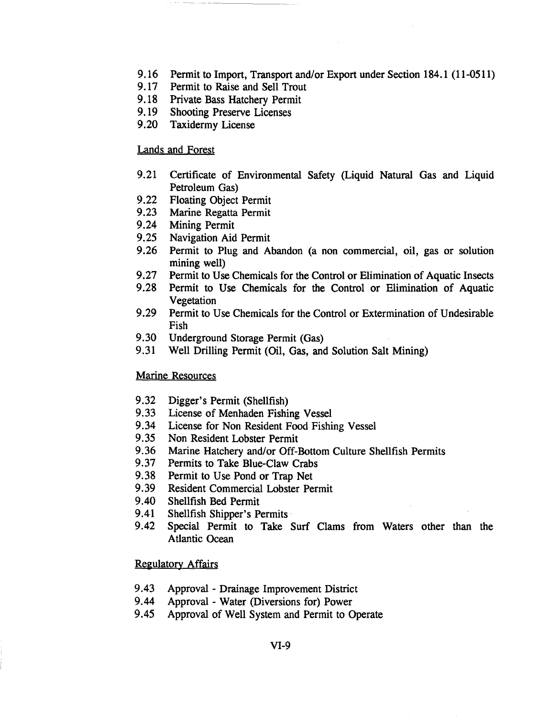- 9.16 Permit to Import, Transport and/or Export under Section 184.1 (11-0511)
- 9.17 Permit to Raise and Sell Trout
- 9.18 Private Bass Hatchery Permit
- 9.19 Shooting Preserve Licenses
- 9.20 Taxidermy License

### Lands and Forest

- 9.21 Certificate of Environmental Safety (Liquid Natural Gas and Liquid Petroleum Gas)
- 9.22 Floating Object Permit
- 9.23 Marine Regatta Permit
- 9.24 Mining Permit
- 9.25 Navigation Aid Permit
- 9.26 Permit to Plug and Abandon (a non commercial, oil, gas or solution mining well)
- 9.27 Permit to Use Chemicals for the Control or Elimination of Aquatic Insects
- 9.28 Permit to Use Chemicals for the Control or Elimination of Aquatic Vegetation
- 9.29 Permit to Use Chemicals for the Control or Extermination of Undesirable Fish
- 9.30 Underground Storage Permit (Gas)
- 9.31 Well Drilling Permit (Oil, Gas, and Solution Salt Mining)

### Marine Resources

- 9.32 Digger's Permit (Shellfish)
- 9.33 License of Menhaden Fishing Vessel
- 9.34 License for Non Resident Food Fishing Vessel
- 9.35 Non Resident Lobster Permit
- 9.36 Marine Hatchery and/or Off-Bottom Culture Shellfish Permits
- 9.37 Permits to Take Blue-Claw Crabs
- 9.38 Permit to Use Pond or Trap Net
- 9.39 Resident Commercial Lobster Permit
- 9.40 Shellfish Bed Permit
- 9.41 Shellfish Shipper's Permits
- 9.42 Special Permit to Take Surf Clams from Waters other than the Atlantic Ocean

### Regulatory Affairs

- 9.43 Approval Drainage Improvement District
- 9.44 Approval Water (Diversions for) Power
- 9.45 Approval of Well System and Permit to Operate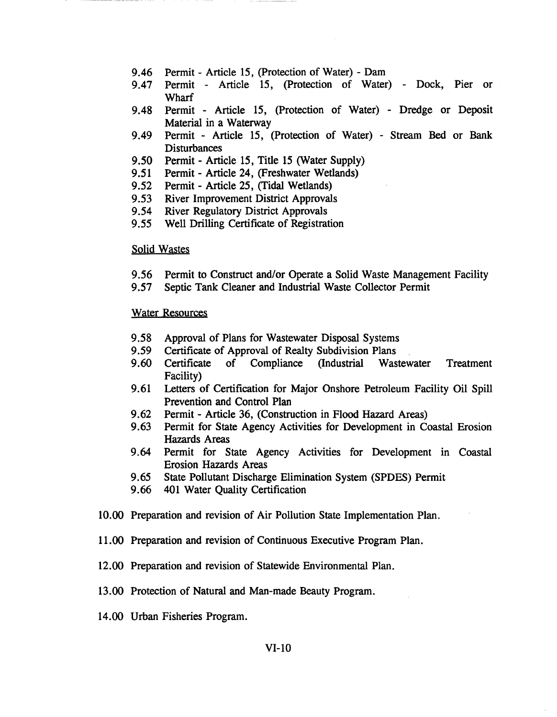- 9.46 Permit Article 15, (protection of Water) Dam
- 9.47 Permit Article 15, (Protection of Water) Dock, Pier or **Wharf**
- 9.48 Permit Article 15, (Protection of Water) Dredge or Deposit Material in a Waterway
- 9.49 Permit Article 15, (protection of Water) Stream Bed or Bank Disturbances
- 9.50 Permit Article 15, Title 15 (Water Supply)
- 9.51 Permit Article 24, (Freshwater Wetlands)
- 9.52 Permit Article 25, (Tidal Wetlands)
- 9.53 River Improvement District Approvals
- 9.54 River Regulatory District Approvals
- 9.55 Well Drilling Certificate of Registration

### Solid Wastes

- 9.56 Permit to Construct and/or Operate a Solid Waste Management Facility
- 9.57 Septic Tank Cleaner and Industrial Waste Collector Permit

#### Water Resources

- 9.58 Approval of Plans for Wastewater Disposal Systems
- 9.59 Certificate of Approval of Realty Subdivision Plans
- 9.60 Certificate of Compliance (Industrial Wastewater Treatment Facility)
- 9.61 Letters of Certification for Major Onshore Petroleum Facility Oil Spill Prevention and Control Plan
- 9.62 Permit Article 36, (Construction in Flood Hazard Areas)
- 9.63 Permit for State Agency Activities for Development in Coastal Erosion Hazards Areas
- 9.64 Permit for State Agency Activities for Development in Coastal Erosion Hazards Areas
- 9.65 State Pollutant Discharge Elimination System (SPDES) Permit
- 9.66 401 Water Quality Certification
- 10.00 Preparation and revision of Air Pollution State Implementation Plan.
- 11.00 Preparation and revision of Continuous Executive Program Plan.
- 12.00 Preparation and revision of Statewide Environmental Plan.
- 13.00 Protection of Natural and Man-made Beauty Program.
- 14.00 Urban Fisheries Program.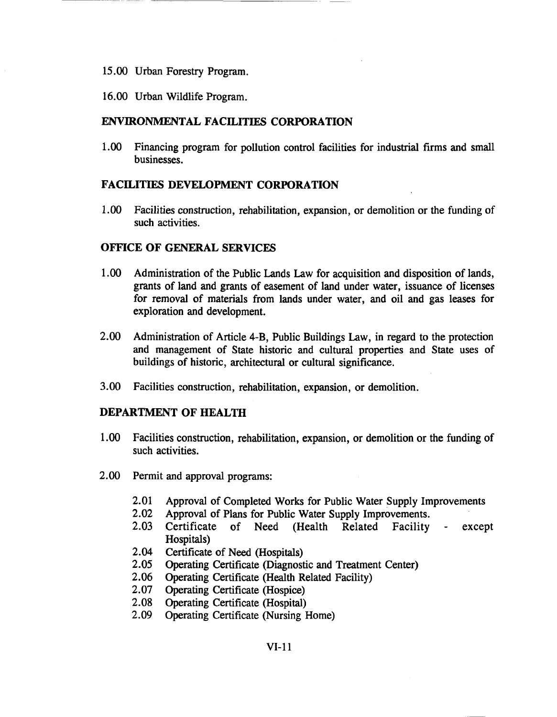- 15.00 Urban Forestry Program.
- 16.00 Urban Wildlife Program.

## **ENVIRONMENTAL FACILITIES CORPORATION**

1.00 Financing program for pollution control facilities for industrial firms and small businesses.

## **FACILITIES DEVELOPMENT CORPORATION**

1.00 Facilities construction, rehabilitation, expansion, or demolition or the funding of such activities.

## **OFFICE OF GENERAL SERVICES**

- 1.00 Administration of the Public Lands Law for acquisition and disposition of lands, grants of land and grants of easement of land under water, issuance of licenses for removal of materials from lands under water, and oil and gas leases for exploration and development.
- 2.00 Administration of Article 4-B, Public Buildings Law, in regard to the protection and management of State historic and cultural properties and State uses of buildings of historic, architectural or cultural significance.
- 3.00 Facilities construction, rehabilitation, expansion, or demolition.

## **DEPARTMENT OF HEALTH**

- 1.00 Facilities construction, rehabilitation, expansion, or demolition or the funding of such activities.
- 2.00 Permit and approval programs:
	- 2.01 Approval of Completed Works for Public Water Supply Improvements
	- 2.02 Approval of Plans for Public Water Supply Improvements.
	- 2.03 Certificate of Need (Health Related Facility except Hospitals)
	- 2.04 Certificate of Need (Hospitals)
	- 2.05 Operating Certificate (Diagnostic and Treatment Center)
	- 2.06 Operating Certificate (Health Related Facility)
	- 2.07 Operating Certificate (Hospice)
	- 2.08 Operating Certificate (Hospital)
	- 2.09 Operating Certificate (Nursing Home)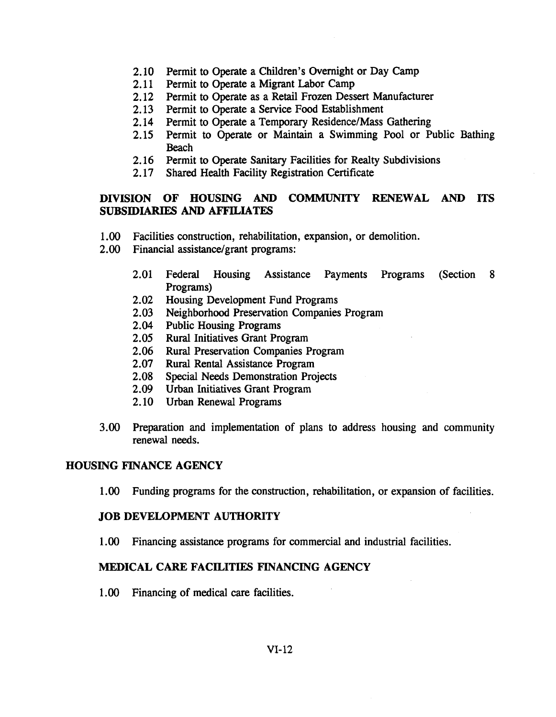- 2.10 Permit to Operate a Children's Overnight or Day Camp
- 2.11 Permit to Operate a Migrant Labor Camp
- 2.12 Permit to Operate as a Retail Frozen Dessert Manufacturer
- 2.13 Permit to Operate a Service Food Establishment
- 2.14 Permit to Operate a Temporary Residence/Mass Gathering
- 2.15 Permit to Operate or Maintain a Swimming Pool or Public Bathing Beach
- 2.16 Permit to Operate Sanitary Facilities for Realty Subdivisions
- 2.17 Shared Health Facility Registration Certificate

# DIVISION OF HOUSING AND COMMUNITY RENEWAL AND ITS SUBSIDIARIES AND AFFILIATFS

- 1.00 Facilities construction, rehabilitation, expansion, or demolition.
- 2.00 Financial assistance/grant programs:
	- 2.01 Federal Housing Assistance Payments Programs (Section 8 Programs)
	- 2.02 Housing Development Fund Programs
	- 2.03 Neighborhood Preservation Companies Program
	- 2.04 Public Housing Programs
	- 2.05 Rural Initiatives Grant Program
	- 2.06 Rural Preservation Companies Program
	- 2.07 Rural Rental Assistance Program
	- 2.08 Special Needs Demonstration Projects
	- 2.09 Urban Initiatives Grant Program
	- 2.10 Urban Renewal Programs
- 3.00 Preparation and implementation of plans to address housing and community renewal needs.

# HOUSING FINANCE AGENCY

1.00 Funding programs for the construction, rehabilitation, or expansion of facilities.

# JOB DEVELOPMENT AUTHORITY

1.00 Financing assistance programs for commercial and industrial facilities.

# MEDICAL CARE FACILITIES FINANCING AGENCY

1.00 Financing of medical care facilities.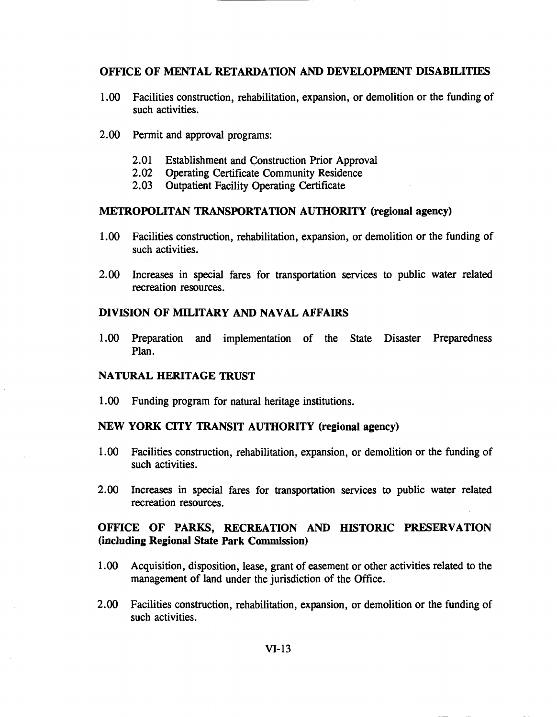## OFFICE OF MENTAL RETARDATION AND DEVELOPMENT DISABILITIES

- 1.00 Facilities construction, rehabilitation, expansion, or demolition or the funding of such activities.
- 2.00 Permit and approval programs:
	- 2.01 Establishment and Construction Prior Approval
	- 2.02 Operating Certificate Community Residence
	- 2.03 Outpatient Facility Operating Certificate

### METROPOLITAN TRANSPORTATION AUTHORITY (regional agency)

- 1.00 Facilities construction, rehabilitation, expansion, or demolition or the funding of such activities.
- 2.00 Increases in special fares for transportation services to public water related recreation resources.

## DIVISION OF MILITARY AND NAVAL AFFAIRS

1.00 Preparation and implementation of the State Disaster Preparedness Plan.

### NATURAL HERITAGE TRUST

1.00 Funding program for natural heritage institutions.

## NEW YORK CITY TRANSIT AUTHORITY (regional agency)

- 1.00 Facilities construction, rehabilitation, expansion, or demolition or the funding of such activities.
- 2.00 Increases in special fares for transportation services to public water related recreation resources.

## OFFICE OF PARKS, RECREATION AND HISTORIC PRESERVATION (including Regional State Park Commission)

- 1.00 Acquisition, disposition, lease, grant of easement or other activities related to the management of land under the jurisdiction of the Office.
- 2.00 Facilities construction, rehabilitation, expansion, or demolition or the funding of such activities.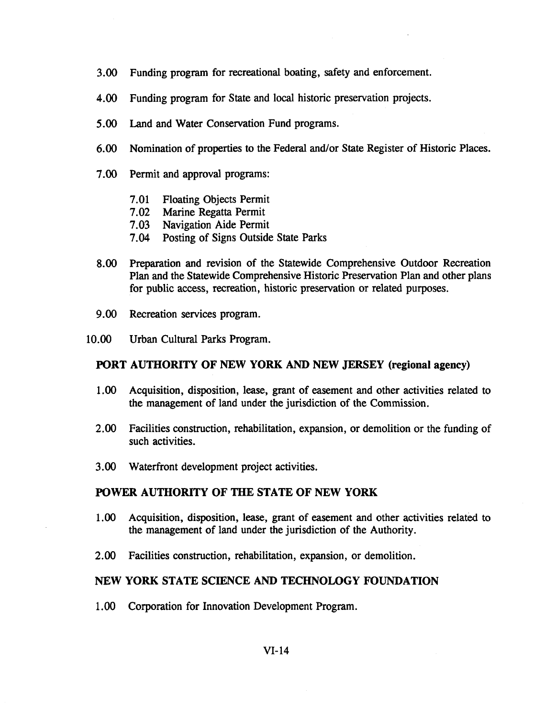- 3.00 Funding program for recreational boating, safety and enforcement.
- 4.00 Funding program for State and local historic preservation projects.
- 5.00 Land and Water Conservation Fund programs.
- 6.00 Nomination of properties to the Federal and/or State Register of Historic Places.
- 7.00 Permit and approval programs:
	- 7.01 Floating Objects Permit
	- 7.02 Marine Regatta Permit
	- 7.03 Navigation Aide Permit
	- 7.04 Posting of Signs Outside State Parks
- 8.00 Preparation and revision of the Statewide Comprehensive Outdoor Recreation Plan and the Statewide Comprehensive Historic Preservation Plan and other plans for public access, recreation, historic preservation or related purposes.
- 9.00 Recreation services program.
- 10.00 Urban Cultural Parks Program.

## PORT AUTHORITY OF NEW YORK AND NEW JERSEY (regional agency)

- 1.00 Acquisition, disposition, lease, grant of easement and other activities related to the management of land under the jurisdiction of the Commission.
- 2.00 Facilities construction, rehabilitation, expansion, or demolition or the funding of such activities.
- 3.00 Waterfront development project activities.

## POWER AUTHORITY OF THE STATE OF NEW YORK

- 1.00 Acquisition, disposition, lease, grant of easement and other activities related to the management of land under the jurisdiction of the Authority.
- 2.00 Facilities construction, rehabilitation, expansion, or demolition.

## NEW YORK STATE SCIENCE AND TECHNOLOGY FOUNDATION

1.00 Corporation for Innovation Development Program.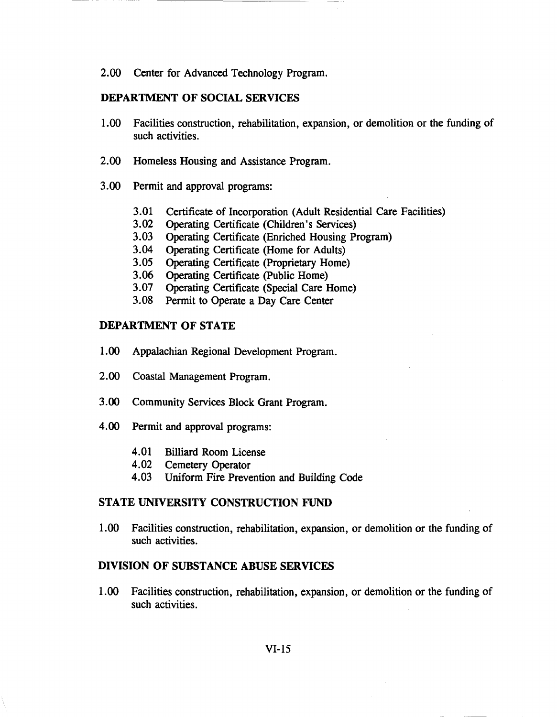2.00 Center for Advanced Technology Program.

## DEPARTMENT OF SOCIAL SERVICES

- 1.00 Facilities construction, rehabilitation, expansion, or demolition or the funding of such activities.
- 2.00 Homeless Housing and Assistance Program.
- 3.00 Permit and approval programs:
	- 3.01 Certificate of Incorporation (Adult Residential Care Facilities)
	- 3.02 Operating Certificate (Children's Services)
	- 3.03 Operating Certificate (Enriched Housing Program)
	- 3.04 Operating Certificate (Home for Adults)
	- 3.05 Operating Certificate (Proprietary Home)
	- 3.06 Operating Certificate (public Home)
	- 3.07 Operating Certificate (Special Care Home)
	- 3.08 Permit to Operate a Day Care Center

## DEPARTMENT OF STATE

- 1.00 Appalachian Regional Development Program.
- 2.00 Coastal Management Program.
- 3.00 Community Services Block Grant Program.
- 4.00 Permit and approval programs:
	- 4.01 Billiard Room License
	- 4.02 Cemetery Operator
	- 4.03 Uniform Fire Prevention and Building Code

## STATE UNIVERSITY CONSTRUCTION FUND

1.00 Facilities construction, rehabilitation, expansion, or demolition or the funding of such activities.

### DIVISION OF SUBSTANCE ABUSE SERVICES

1.00 Facilities construction, rehabilitation, expansion, or demolition or the funding of such activities.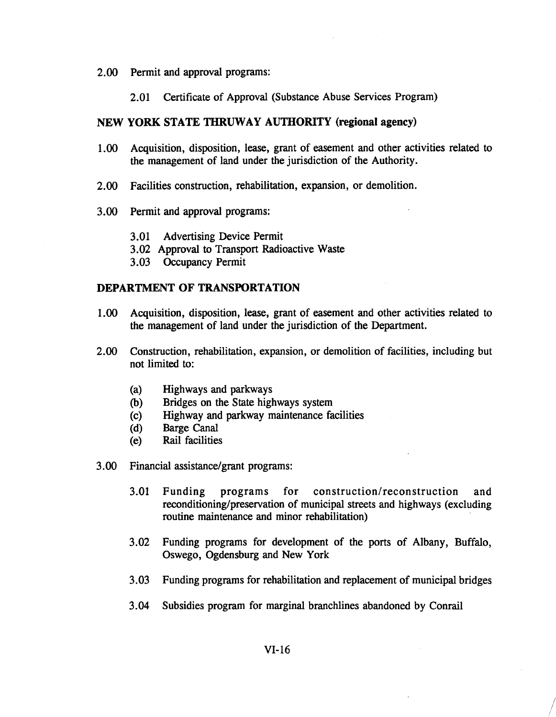- 2.00 Permit and approval programs:
	- 2.01 Certificate of Approval (Substance Abuse Services Program)

## NEW YORK STATE THRUWAY AUTHORITY (regional agency)

- 1.00 Acquisition, disposition, lease, grant of easement and other activities related to the management of land under the jurisdiction of the Authority.
- 2.00 Facilities construction, rehabilitation, expansion, or demolition.
- 3.00 Permit and approval programs:
	- 3.01 Advertising Device Permit
	- 3.02 Approval to Transport Radioactive Waste
	- 3.03 Occupancy Permit

## DEPARTMENT OF TRANSPORTATION

- 1.00 Acquisition, disposition, lease, grant of easement and other activities related to the management of land under the jurisdiction of the Department.
- 2.00 Construction, rehabilitation, expansion, or demolition of facilities, including but not limited to:
	- (a) Highways and parkways
	- (b) Bridges on the State highways system
	- (c) Highway and parkway maintenance facilities
	- (d) Barge Canal
	- (e) Rail facilities
- 3.00 Financial assistance/grant programs:
	- 3.01 Funding programs for construction/reconstruction and reconditioning/preservation of municipal streets and highways (excluding routine maintenance and minor rehabilitation)
	- 3.02 Funding programs for development of the ports of Albany, Buffalo, Oswego, Ogdensburg and New York
	- 3.03 Funding programs for rehabilitation and replacement of municipal bridges
	- 3.04 Subsidies program for marginal branchlines abandoned by Conrail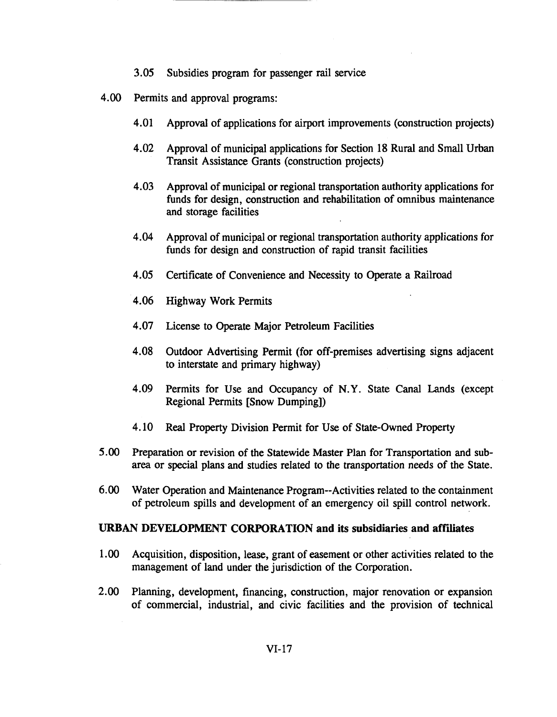- 3.05 Subsidies program for passenger rail service
- 4.00 Permits and approval programs:
	- 4.01 Approval of applications for airport improvements (construction projects)
	- 4.02 Approval of municipal applications for Section 18 Rural and Small Urban Transit Assistance Grants (construction projects)
	- 4.03 Approval of municipal or regional transportation authority applications for funds for design, construction and rehabilitation of omnibus maintenance and storage facilities
	- 4.04 Approval of municipal or regional transportation authority applications for funds for design and construction of rapid transit facilities
	- 4.05 Certificate of Convenience and Necessity to Operate a Railroad
	- 4.06 Highway Work Permits
	- 4.07 License to Operate Major Petroleum Facilities
	- 4.08 Outdoor Advertising Permit (for off-premises advertising signs adjacent to interstate and primary highway)
	- 4.09 Permits for Use and Occupancy of N.Y. State Canal Lands (except Regional Permits [Snow Dumping])
	- 4.10 Real Property Division Permit for Use of State-Owned Property
- 5.00 Preparation or revision of the Statewide Master Plan for Transportation and subarea or special plans and studies related to the transportation needs of the State.
- 6.00 Water Operation and Maintenance Program--Activities related to the containment of petroleum spills and development of an emergency oil spill control network.

## URBAN DEVELOPMENT CORPORATION and its subsidiaries and affiliates

- 1.00 Acquisition, disposition, lease, grant of easement or other activities related to the management of land under the jurisdiction of the Corporation.
- 2.00 Planning, development, financing, construction, major renovation or expansion of commercial, industrial, and civic facilities and the provision of technical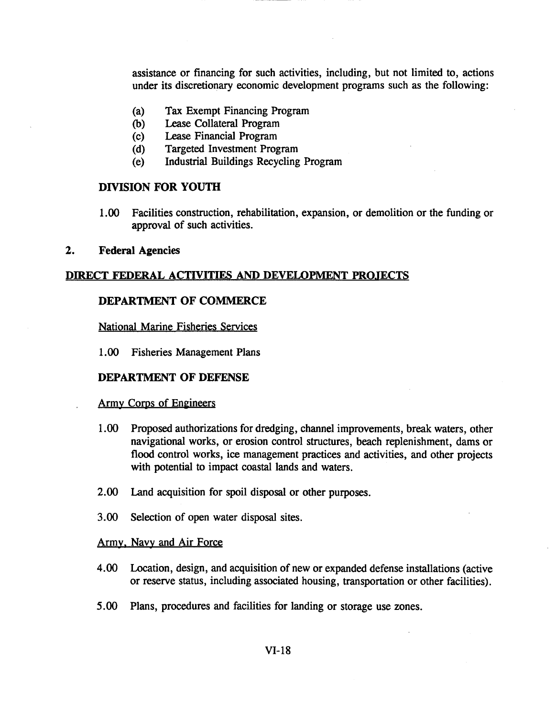assistance or financing for such activities, including, but not limited to, actions under its discretionary economic development programs such as the following:

- (a) Tax Exempt Financing Program
- (b) Lease Collateral Program
- (c) Lease Financial Program
- (d) Targeted Investment Program
- (e) Industrial Buildings Recycling Program

### DIVISION FOR YOUTH

1.00 Facilities construction, rehabilitation, expansion, or demolition or the funding or approval of such activities.

#### 2. Federal Agencies

#### DIRECT FEDERAL ACTIVITIES AND DEVELOPMENT PROJECTS

## DEPARTMENT OF COMMERCE

National Marine Fisheries Services

1.00 Fisheries Management Plans

#### DEPARTMENT OF DEFENSE

#### Army Corps of Engineers

- 1.00 Proposed authorizations for dredging, channel improvements, break waters, other navigational works, or erosion control structures, beach replenishment, dams or flood control works, ice management practices and activities, and other projects with potential to impact coastal lands and waters.
- 2.00 Land acquisition for spoil disposal or other purposes.
- 3.00 Selection of open water disposal sites.

#### Army. Navy and Air Force

- 4.00 Location, design, and acquisition of new or expanded defense installations (active or reserve status, including associated housing, transportation or other facilities).
- 5.00 Plans, procedures and facilities for landing or storage use zones.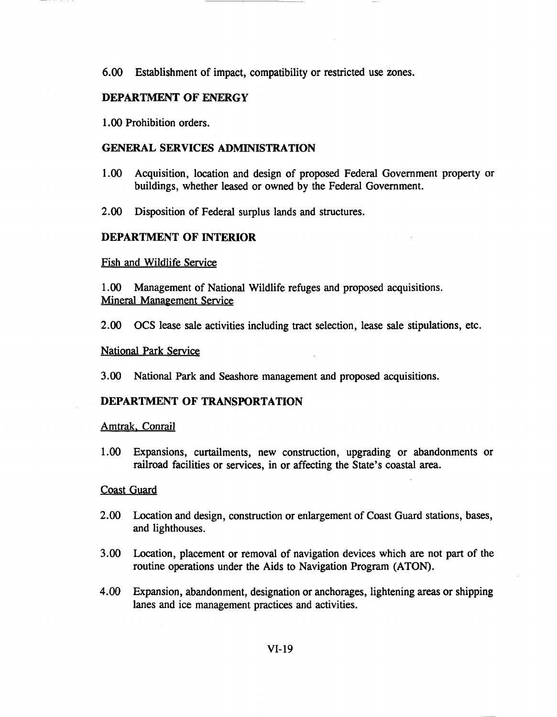6.00 Establishment of impact, compatibility or restricted use zones.

## DEPARTMENT OF ENERGY

1.00 Prohibition orders.

## GENERAL SERVICES ADMINISTRATION

- 1.00 Acquisition, location and design of proposed Federal Government property or buildings, whether leased or owned by the Federal Government.
- 2.00 Disposition of Federal surplus lands and structures.

## DEPARTMENT OF INTERIOR

Fish and Wildlife Service

1.00 Management of National Wildlife refuges and proposed acquisitions. Mineral Manaeement Service

2.00 OCS lease sale activities including tract selection, lease sale stipulations, etc.

## National Park Service

3.00 National Park and Seashore management and proposed acquisitions.

## DEPARTMENT OF TRANSPORTATION

## Amtrak. Conrail

1.00 Expansions, curtailments, new construction, upgrading or abandonments or railroad facilities or services, in or affecting the State's coastal area.

## Coast Guard

- 2.00 Location and design, construction or enlargement of Coast Guard stations, bases, and lighthouses.
- 3.00 Location, placement or removal of navigation devices which are not part of the routine operations under the Aids to Navigation Program (ATON).
- 4.00 Expansion, abandonment, designation or anchorages, lightening areas or shipping lanes and ice management practices and activities.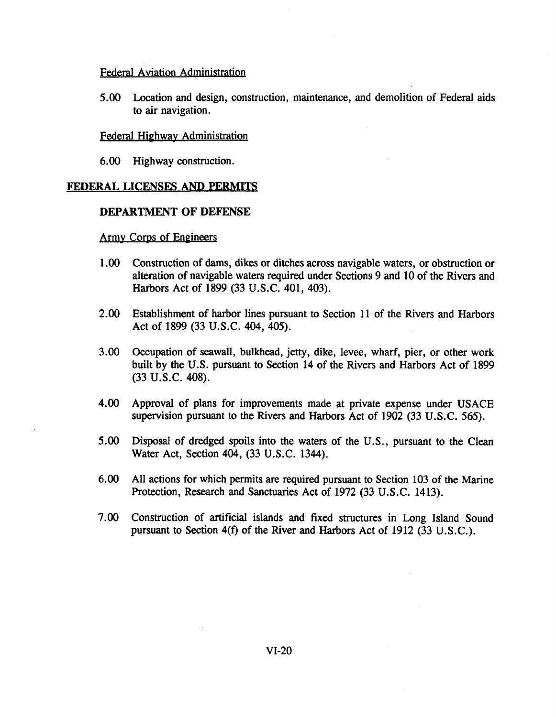## Federal Aviation Administration

5.00 Location and design, construction, maintenance, and demolition of Federal aids to air navigation.

## Federal Highway Administration

6.00 Highway construction.

## FEDERAL LICENSES AND PERMITS

### DEPARTMENT OF DEFENSE

## Army Corps of Engineers

- 1.00 Construction of dams, dikes or ditches across navigable waters, or obstruction or alteration of navigable waters required under Sections 9 and 10 of the Rivers and Harbors Act of 1899 (33 U.S.C. 401, 403).
- 2.00 Establishment of harbor lines pursuant to Section 11 of the Rivers and Harbors Act of 1899 (33 U.S.C. 404, 405).
- 3.00 Occupation of seawall, bulkhead, jetty, dike, levee, wharf, pier, or other work built by the U.S. pursuant to Section 14 of the Rivers and Harbors Act of 1899 (33 U.S.C. 408).
- 4.00 Approval of plans for improvements made at private expense under USACE supervision pursuant to the Rivers and Harbors Act of 1902 (33 U.S.C. 565).
- 5.00 Disposal of dredged spoils into the waters of the U.S., pursuant to the Clean Water Act, Section 404, (33 U.S.C. 1344).
- 6.00 All actions for which permits are required pursuant to Section 103 of the Marine Protection, Research and Sanctuaries Act of 1972 (33 U.S.C. 1413).
- 7.00 Construction of artificial islands and fixed structures in Long Island Sound pursuant to Section 4(f) of the River and Harbors Act of 1912 (33 U.S.C.).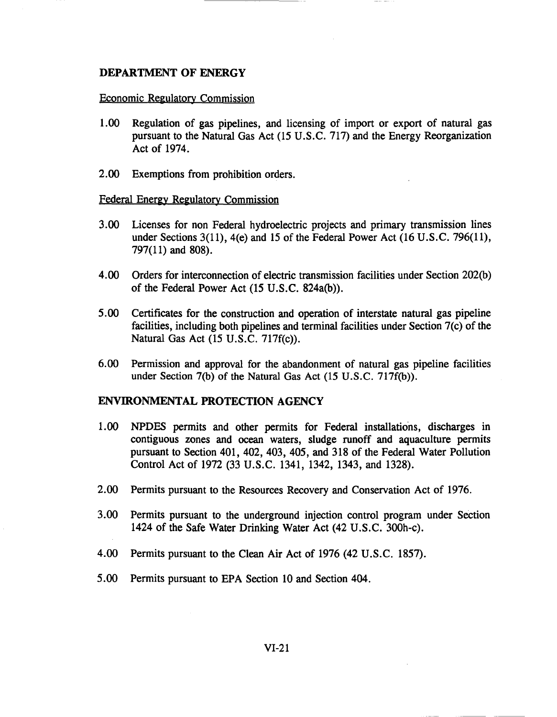### DEPARTMENT OF ENERGY

#### Economic Regulatory Commission

- 1.00 Regulation of gas pipelines, and licensing of import or export of natural gas pursuant to the Natural Gas Act (15 U.S.C. 717) and the Energy Reorganization Act of 1974.
- 2.00 Exemptions from prohibition orders.

#### Federal Energy Regulatory Commission

- 3.00 Licenses for non Federal hydroelectric projects and primary transmission lines under Sections 3(11), 4(e) and 15 of the Federal Power Act (16 U.S.C. 796(11), 797(11) and 808).
- 4.00 Orders for interconnection of electric transmission facilities under Section 202(b) of the Federal Power Act  $(15 \text{ U.S.C. } 824a(b))$ .
- 5.00 Certificates for the construction and operation of interstate natural gas pipeline facilities, including both pipelines and terminal facilities under Section 7(c) of the Natural Gas Act (15 U.S.C. 717f(c)).
- 6.00 Permission and approval for the abandonment of natural gas pipeline facilities under Section 7(b) of the Natural Gas Act (15 U.S.C. 717f(b)).

### ENVIRONMENTAL PROTECTION AGENCY

- 1.00 NPDES permits and other permits for Federal installations, discharges in contiguous zones and ocean waters, sludge runoff and aquaculture permits pursuant to Section 401, 402, 403, 405, and 318 of the Federal Water Pollution Control Act of 1972 (33 U.S.C. 1341, 1342, 1343, and 1328).
- 2.00 Permits pursuant to the Resources Recovery and Conservation Act of 1976.
- 3.00 Permits pursuant to the underground injection control program under Section 1424 of the Safe Water Drinking Water Act (42 U.S.C. 300h-c).
- 4.00 Permits pursuant to the Clean Air Act of 1976 (42 U.S.C. 1857).
- 5.00 Permits pursuant to EPA Section 10 and Section 404.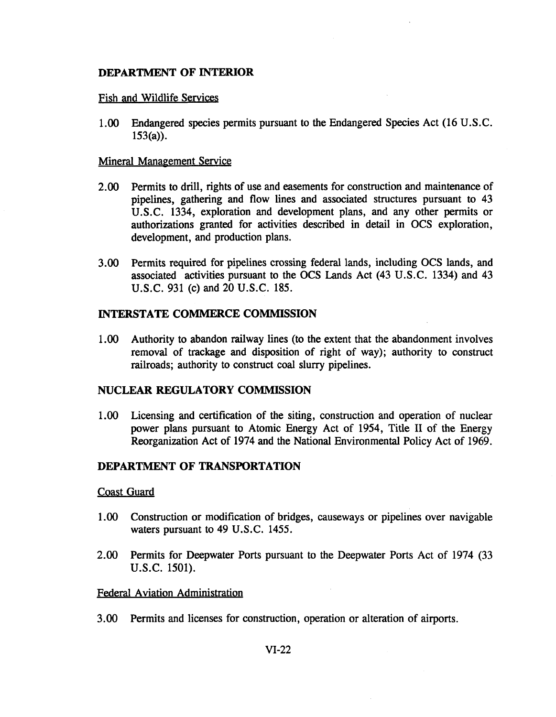## **DEPARTMENT OF INTERIOR**

## Fish and Wildlife Services

1.00 Endangered species permits pursuant to the Endangered Species Act (16 U.S.C.  $153(a)$ ).

## Mineral Management Service

- 2.00 Permits to drill, rights of use and easements for construction and maintenance of pipelines, gathering and flow lines and associated structures pursuant to 43 U.S.C. 1334, exploration and development plans, and any other permits or authorizations granted for activities described in detail in OCS exploration, development, and production plans.
- 3.00 Permits required for pipelines crossing federal lands, including OCS lands, and associated activities pursuant to the OCS Lands Act (43 U.S.C. 1334) and 43 U.S.C. 931 (c) and 20 U.S.C. 185.

## **INTERSTATE COMMERCE COMMISSION**

1.00 Authority to abandon railway lines (to the extent that the abandonment involves removal of trackage and disposition of right of way); authority to construct railroads; authority to construct coal slurry pipelines.

## **NUCLEAR REGULATORY COMMISSION**

1.00 Licensing and certification of the siting, construction and operation of nuclear power plans pursuant to Atomic Energy Act of 1954, Title II of the Energy Reorganization Act of 1974 and the National Environmental Policy Act of 1969.

## **DEPARTMENT OF TRANSPORTATION**

### Coast Guard

- 1.00 Construction or modification of bridges, causeways or pipelines over navigable waters pursuant to 49 U.S.C. 1455.
- 2.00 Permits for Deepwater Ports pursuant to the Deepwater Ports Act of 1974 (33 U.S.C. 1501).

### Federal Aviation Administration

3.00 Permits and licenses for construction, operation or alteration of airports.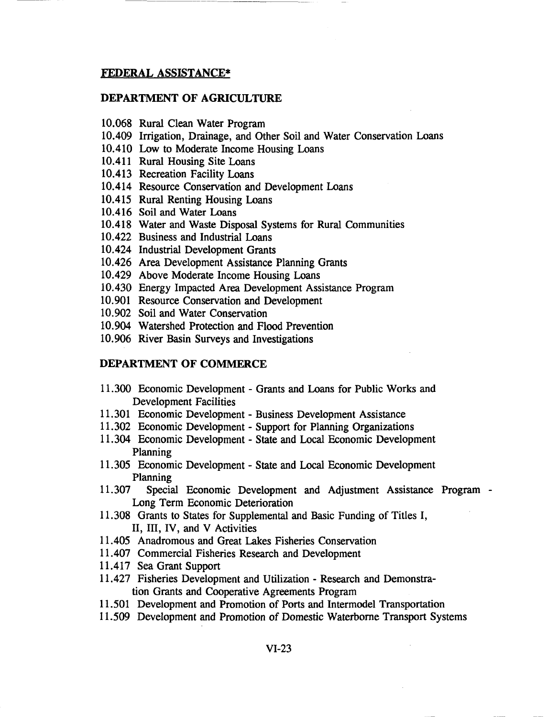### FEDERAL ASSISTANCE\*

### DEPARTMENT OF AGRICULTURE

- 10.068 Rural Clean Water Program
- 10.409 Irrigation, Drainage, and Other Soil and Water Conservation Loans
- 10.410 Low to Moderate Income Housing Loans
- 10.411 Rural Housing Site Loans
- 10.413 Recreation Facility Loans
- 10.414 Resource Conservation and Development Loans
- 10.415 Rural Renting Housing Loans
- 10.416 Soil and Water Loans
- 10.418 Water and Waste Disposal Systems for Rural Communities
- 10.422 Business and Industrial Loans
- 10.424 Industrial Development Grants
- 10.426 Area Development Assistance Planning Grants
- 10.429 Above Moderate Income Housing Loans
- 10.430 Energy Impacted Area Development Assistance Program
- 10.901 Resource Conservation and Development
- 10.902 Soil and Water Conservation
- 10.904 Watershed Protection and Flood Prevention
- 10.906 River Basin Surveys and Investigations

### DEPARTMENT OF COMMERCE

- 11.300 Economic Development Grants and Loans for Public Works and Development Facilities
- 11.301 Economic Development Business Development Assistance
- 11.302 Economic Development Support for Planning Organizations
- 11.304 Economic Development State and Local Economic Development Planning
- 11.305 Economic Development State and Local Economic Development Planning
- 11.307 Special Economic Development and Adjustment Assistance Program Long Term Economic Deterioration
- 11.308 Grants to States for Supplemental and Basic Funding of Titles I, II, III, IV, and V Activities
- 11.405 Anadromous and Great Lakes Fisheries Conservation
- 11.407 Commercial Fisheries Research and Development
- 11.417 Sea Grant Support
- 11.427 Fisheries Development and Utilization Research and Demonstration Grants and Cooperative Agreements Program
- 11.501 Development and Promotion of Ports and Intermodel Transportation
- 11.509 Development and Promotion of Domestic Waterborne Transport Systems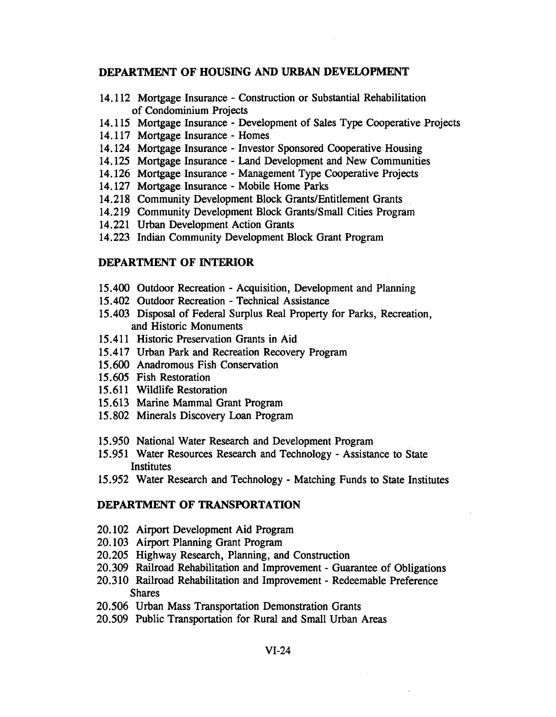### **DEPARTMENT OF HOUSING AND URBAN DEVELOPMENT**

- 14.112 Mortgage Insurance Construction or Substantial Rehabilitation of Condominium Projects
- 14.115 Mortgage Insurance Development of Sales Type Cooperative Projects
- 14.117 Mortgage Insurance Homes
- 14.124 Mortgage Insurance Investor Sponsored Cooperative Housing
- 14.125 Mortgage Insurance Land Development and New Communities
- 14.126 Mortgage Insurance Management Type Cooperative Projects
- 14.127 Mortgage Insurance Mobile Home Parks
- 14.218 Community Development Block Grants/Entitlement Grants
- 14.219 Community Development Block Grants/Small Cities Program
- 14.221 Urban Development Action Grants
- 14.223 Indian Community Development Block Grant Program

## **DEPARTMENT OF INTERIOR**

- 15.400 Outdoor Recreation Acquisition, Development and Planning
- 15.402 Outdoor Recreation Technical Assistance
- 15.403 Disposal of Federal Surplus Real Property for Parks, Recreation, and Historic Monuments
- 15.411 Historic Preservation Grants in Aid
- 15.417 Urban Park and Recreation Recovery Program
- 15.600 Anadromous Fish Conservation
- 15.605 Fish Restoration
- 15.611 Wildlife Restoration
- 15.613 Marine Mammal Grant Program
- 15.802 Minerals Discovery Loan Program
- 15.950 National Water Research and Development Program
- 15.951 Water Resources Research and Technology Assistance to State **Institutes**
- 15.952 Water Research and Technology Matching Funds to State Institutes

### **DEPARTMENT OF TRANSPORTATION**

- 20.102 Airport Development Aid Program
- 20.103 Airport Planning Grant Program
- 20.205 Highway Research, Planning, and Construction
- 20.309 Railroad Rehabilitation and Improvement Guarantee of Obligations
- 20.310 Railroad Rehabilitation and Improvement Redeemable Preference Shares
- 20.506 Urban Mass Transportation Demonstration Grants
- 20.509 Public Transportation for Rural and Small Urban Areas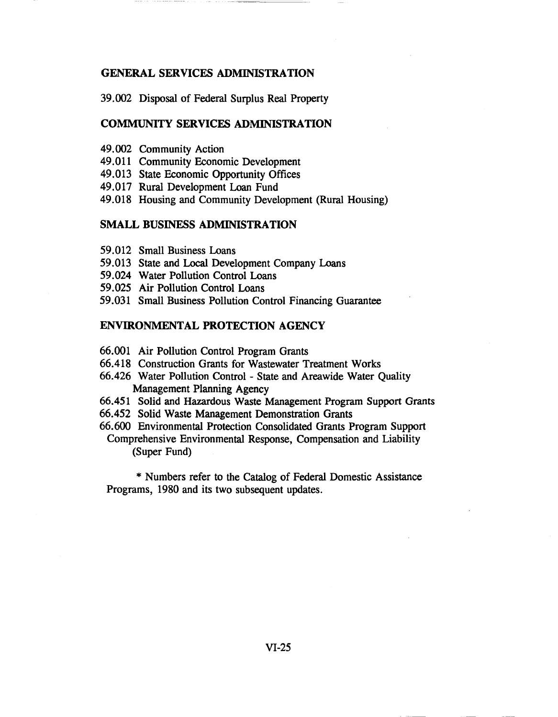### GENERAL SERVICES ADMINISTRATION

39.002 Disposal of Federal Surplus Real Property

### COMMUNITY SERVICES ADMINISTRATION

- 49.002 Community Action
- 49.011 Community Economic Development
- 49.013 State Economic Opportunity Offices
- 49.017 Rural Development Loan Fund
- 49.018 Housing and Community Development (Rural Housing)

### SMALL BUSINESS ADMINISTRATION

- 59.012 Small Business Loans
- 59.013 State and Local Development Company Loans
- 59.024 Water Pollution Control Loans
- 59.025 Air Pollution Control Loans
- 59.031 Small Business Pollution Control Financing Guarantee

## ENVIRONMENTAL PROTECTION AGENCY

- 66.001 Air Pollution Control Program Grants
- 66.418 Construction Grants for Wastewater Treatment Works
- 66.426 Water Pollution Control State and Areawide Water Quality Management Planning Agency
- 66.451 Solid and Hazardous Waste Management Program Support Grants
- 66.452 Solid Waste Management Demonstration Grants
- 66.600 Environmental Protection Consolidated Grants Program Support Comprehensive Environmental Response, Compensation and Liability (Super Fund)

\* Numbers refer to the Catalog of Federal Domestic Assistance Programs, 1980 and its two subsequent updates.